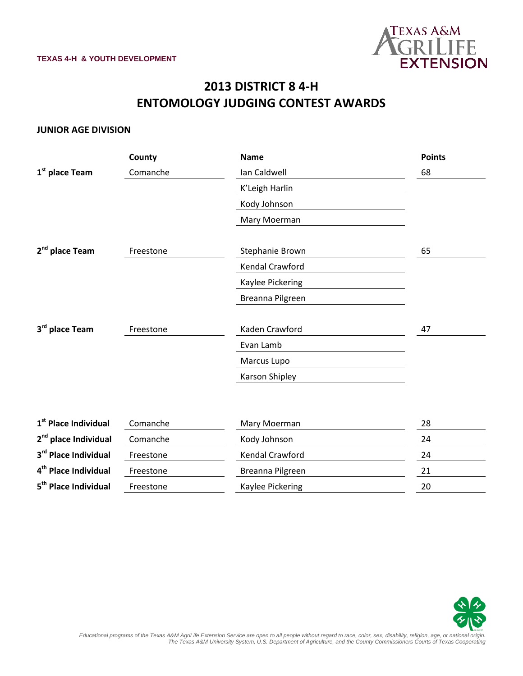

# **2013 DISTRICT 8 4-H ENTOMOLOGY JUDGING CONTEST AWARDS**

### **JUNIOR AGE DIVISION**

|                                  | County    | <b>Name</b>      | <b>Points</b> |
|----------------------------------|-----------|------------------|---------------|
| 1 <sup>st</sup> place Team       | Comanche  | Ian Caldwell     | 68            |
|                                  |           | K'Leigh Harlin   |               |
|                                  |           | Kody Johnson     |               |
|                                  |           | Mary Moerman     |               |
| 2 <sup>nd</sup> place Team       | Freestone | Stephanie Brown  | 65            |
|                                  |           | Kendal Crawford  |               |
|                                  |           | Kaylee Pickering |               |
|                                  |           | Breanna Pilgreen |               |
|                                  |           |                  |               |
| 3rd place Team                   | Freestone | Kaden Crawford   | 47            |
|                                  |           | Evan Lamb        |               |
|                                  |           | Marcus Lupo      |               |
|                                  |           | Karson Shipley   |               |
|                                  |           |                  |               |
| 1 <sup>st</sup> Place Individual | Comanche  | Mary Moerman     | 28            |
| 2 <sup>nd</sup> place Individual | Comanche  | Kody Johnson     | 24            |
| 3rd Place Individual             | Freestone | Kendal Crawford  | 24            |
| 4 <sup>th</sup> Place Individual | Freestone | Breanna Pilgreen | 21            |
| 5 <sup>th</sup> Place Individual | Freestone | Kaylee Pickering | 20            |
|                                  |           |                  |               |

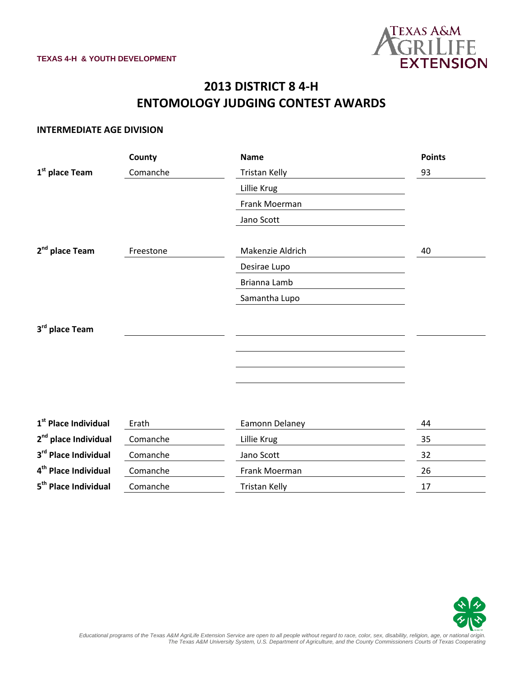

## **2013 DISTRICT 8 4-H ENTOMOLOGY JUDGING CONTEST AWARDS**

#### **INTERMEDIATE AGE DIVISION**

|                                  | County    | <b>Name</b>          | <b>Points</b> |
|----------------------------------|-----------|----------------------|---------------|
| 1 <sup>st</sup> place Team       | Comanche  | Tristan Kelly        | 93            |
|                                  |           | Lillie Krug          |               |
|                                  |           | Frank Moerman        |               |
|                                  |           | Jano Scott           |               |
|                                  |           |                      |               |
| 2 <sup>nd</sup> place Team       | Freestone | Makenzie Aldrich     | 40            |
|                                  |           | Desirae Lupo         |               |
|                                  |           | Brianna Lamb         |               |
|                                  |           | Samantha Lupo        |               |
|                                  |           |                      |               |
| 3rd place Team                   |           |                      |               |
|                                  |           |                      |               |
|                                  |           |                      |               |
|                                  |           |                      |               |
|                                  |           |                      |               |
|                                  |           |                      |               |
| $1st$ Place Individual           | Erath     | Eamonn Delaney       | 44            |
| 2 <sup>nd</sup> place Individual | Comanche  | Lillie Krug          | 35            |
| 3rd Place Individual             | Comanche  | Jano Scott           | 32            |
| 4 <sup>th</sup> Place Individual | Comanche  | Frank Moerman        | 26            |
| 5 <sup>th</sup> Place Individual | Comanche  | <b>Tristan Kelly</b> | 17            |